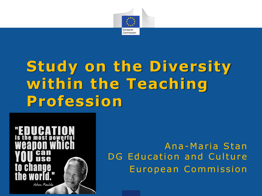

# **Study on the Diversity within the Teaching Profession**  >



Ana-Maria Stan DG Education and Culture European Commission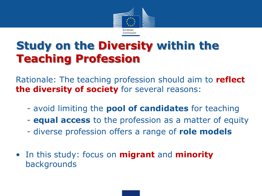

### **Study on the Diversity within the Teaching Profession**

Rationale: The teaching profession should aim to **reflect the diversity of society** for several reasons:

- avoid limiting the **pool of candidates** for teaching
- **equal access** to the profession as a matter of equity
- diverse profession offers a range of **role models**
- In this study: focus on **migrant** and **minority** backgrounds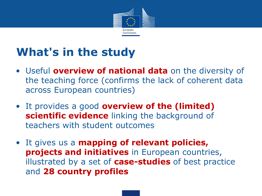

## **What's in the study**

- Useful **overview of national data** on the diversity of the teaching force (confirms the lack of coherent data across European countries)
- It provides a good **overview of the (limited) scientific evidence** linking the background of teachers with student outcomes
- It gives us a **mapping of relevant policies, projects and initiatives** in European countries, illustrated by a set of **case-studies** of best practice and **28 country profiles**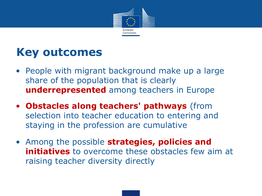

### **Key outcomes**

- People with migrant background make up a large share of the population that is clearly **underrepresented** among teachers in Europe
- **Obstacles along teachers' pathways** (from selection into teacher education to entering and staying in the profession are cumulative
- Among the possible **strategies, policies and initiatives** to overcome these obstacles few aim at raising teacher diversity directly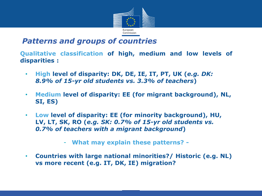

### *Patterns and groups of countries*

**Qualitative classification of high, medium and low levels of disparities :**

- **High level of disparity: DK, DE, IE, IT, PT, UK (***e.g. DK: 8.9% of 15-yr old students vs. 3.3% of teachers***)**
- **Medium level of disparity: EE (for migrant background), NL, SI, ES)**
- **Low level of disparity: EE (for minority background), HU, LV, LT, SK, RO (***e.g. SK: 0.7% of 15-yr old students vs. 0.7% of teachers with a migrant background***)**
	- **What may explain these patterns?**
- **Countries with large national minorities?/ Historic (e.g. NL) vs more recent (e.g. IT, DK, IE) migration?**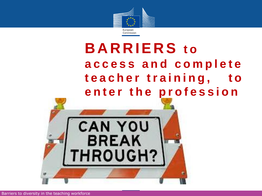

# **B A R R I E R S t o access a n d c o m p l e t e t e a c h e r t r a i n i n g , t o**  enter the profession

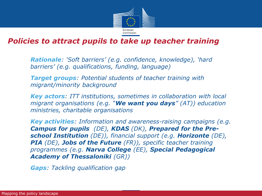

#### *Policies to attract pupils to take up teacher training*

• *Rationale: 'Soft barriers' (e.g. confidence, knowledge), 'hard barriers' (e.g. qualifications, funding, language)*

• *Target groups: Potential students of teacher training with migrant/minority background*

• *Key actors: ITT institutions, sometimes in collaboration with local migrant organisations (e.g. "We want you days" (AT)) education ministries, charitable organisations*

• *Key activities: Information and awareness-raising campaigns (e.g. Campus for pupils (DE), KDAS (DK), Prepared for the Preschool Institution (DE)), financial support (e.g. Horizonte (DE), PIA (DE), Jobs of the Future (FR)), specific teacher training programmes (e.g. Narva College (EE), Special Pedagogical Academy of Thessaloniki (GR))*

• *Gaps: Tackling qualification gap*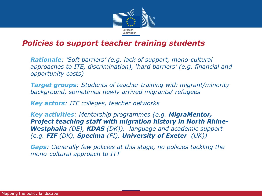

#### *Policies to support teacher training students*

• *Rationale: 'Soft barriers' (e.g. lack of support, mono-cultural approaches to ITE, discrimination), 'hard barriers' (e.g. financial and opportunity costs)*

• *Target groups: Students of teacher training with migrant/minority background, sometimes newly arrived migrants/ refugees*

• *Key actors: ITE colleges, teacher networks*

• *Key activities: Mentorship programmes (e.g. MigraMentor, Project teaching staff with migration history in North Rhine-Westphalia (DE), KDAS (DK)), language and academic support (e.g. FIF (DK), Specima (FI), University of Exeter (UK))*

• *Gaps: Generally few policies at this stage, no policies tackling the mono-cultural approach to ITT*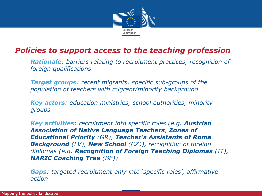

### *Policies to support access to the teaching profession*

• *Rationale: barriers relating to recruitment practices, recognition of foreign qualifications*

• *Target groups: recent migrants, specific sub-groups of the population of teachers with migrant/minority background*

• *Key actors: education ministries, school authorities, minority groups*

• *Key activities: recruitment into specific roles (e.g. Austrian Association of Native Language Teachers, Zones of Educational Priority (GR), Teacher's Assistants of Roma Background (LV), New School (CZ)), recognition of foreign diplomas (e.g. Recognition of Foreign Teaching Diplomas (IT), NARIC Coaching Tree (BE))*

• *Gaps: targeted recruitment only into 'specific roles', affirmative action*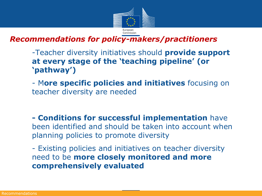

*Recommendations for policy-makers/practitioners* 

1. -Teacher diversity initiatives should **provide support at every stage of the 'teaching pipeline' (or 'pathway')**

2. - M**ore specific policies and initiatives** focusing on teacher diversity are needed

**3. - Conditions for successful implementation** have been identified and should be taken into account when planning policies to promote diversity

- Existing policies and initiatives on teacher diversity need to be **more closely monitored and more comprehensively evaluated**